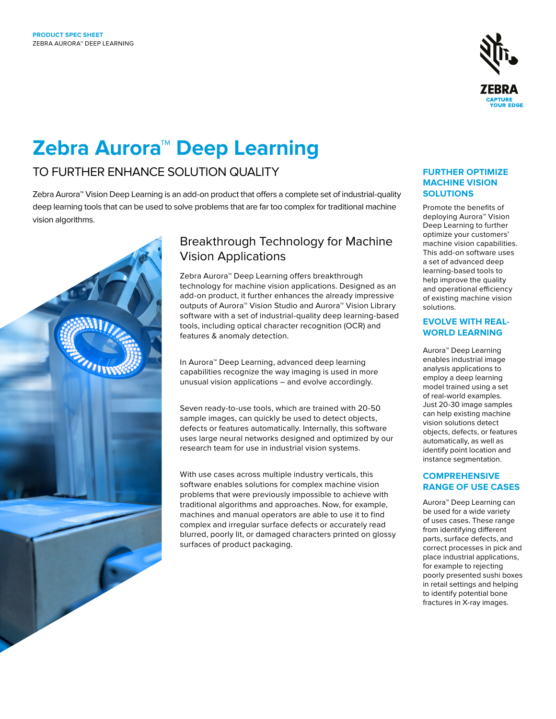

# **Zebra Aurora™ Deep Learning**

# TO FURTHER ENHANCE SOLUTION QUALITY

Zebra Aurora™ Vision Deep Learning is an add-on product that offers a complete set of industrial-quality deep learning tools that can be used to solve problems that are far too complex for traditional machine vision algorithms.



# Breakthrough Technology for Machine Vision Applications

Zebra Aurora™ Deep Learning offers breakthrough technology for machine vision applications. Designed as an add-on product, it further enhances the already impressive outputs of Aurora™ Vision Studio and Aurora™ Vision Library software with a set of industrial-quality deep learning-based tools, including optical character recognition (OCR) and features & anomaly detection.

In Aurora™ Deep Learning, advanced deep learning capabilities recognize the way imaging is used in more unusual vision applications – and evolve accordingly.

Seven ready-to-use tools, which are trained with 20-50 sample images, can quickly be used to detect objects, defects or features automatically. Internally, this software uses large neural networks designed and optimized by our research team for use in industrial vision systems.

With use cases across multiple industry verticals, this software enables solutions for complex machine vision problems that were previously impossible to achieve with traditional algorithms and approaches. Now, for example, machines and manual operators are able to use it to find complex and irregular surface defects or accurately read blurred, poorly lit, or damaged characters printed on glossy surfaces of product packaging.

### **FURTHER OPTIMIZE MACHINE VISION SOLUTIONS**

Promote the benefits of deploying Aurora™ Vision Deep Learning to further optimize your customers' machine vision capabilities. This add-on software uses a set of advanced deep learning-based tools to help improve the quality and operational efficiency of existing machine vision solutions.

## **EVOLVE WITH REAL-WORLD LEARNING**

Aurora™ Deep Learning enables industrial image analysis applications to employ a deep learning model trained using a set of real-world examples. Just 20-30 image samples can help existing machine vision solutions detect objects, defects, or features automatically, as well as identify point location and instance segmentation.

## **COMPREHENSIVE RANGE OF USE CASES**

Aurora™ Deep Learning can be used for a wide variety of uses cases. These range from identifying different parts, surface defects, and correct processes in pick and place industrial applications, for example to rejecting poorly presented sushi boxes in retail settings and helping to identify potential bone fractures in X-ray images.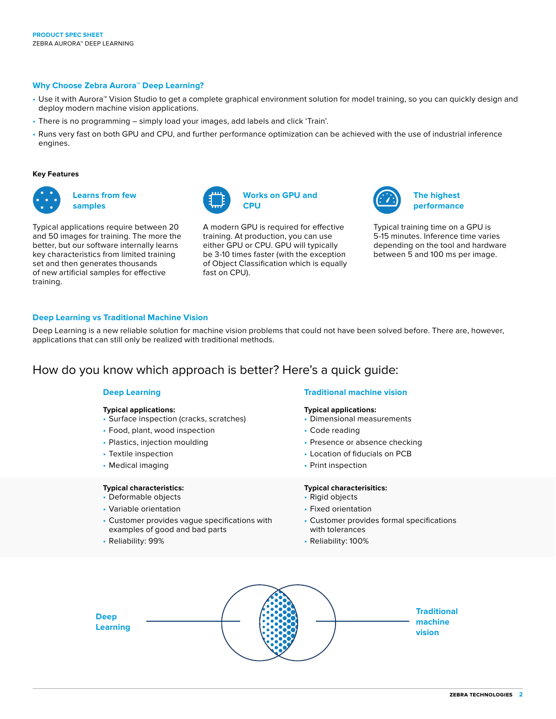#### **Why Choose Zebra Aurora™ Deep Learning?**

- Use it with Aurora™ Vision Studio to get a complete graphical environment solution for model training, so you can quickly design and deploy modern machine vision applications.
- There is no programming simply load your images, add labels and click 'Train'.
- Runs very fast on both GPU and CPU, and further performance optimization can be achieved with the use of industrial inference engines.

**CPU**

#### **Key Features**

| . .    |    |
|--------|----|
| o<br>ш | c, |
| о      | г  |

**Learns from few samples**

Typical applications require between 20 and 50 images for training. The more the better, but our software internally learns key characteristics from limited training set and then generates thousands of new artificial samples for effective training.

A modern GPU is required for effective training. At production, you can use either GPU or CPU. GPU will typically be 3-10 times faster (with the exception of Object Classification which is equally fast on CPU).

**Works on GPU and** 



**The highest performance**

Typical training time on a GPU is 5-15 minutes. Inference time varies depending on the tool and hardware between 5 and 100 ms per image.

#### **Deep Learning vs Traditional Machine Vision**

Deep Learning is a new reliable solution for machine vision problems that could not have been solved before. There are, however, applications that can still only be realized with traditional methods.

# How do you know which approach is better? Here's a quick guide:

#### **Deep Learning**

#### **Typical applications:**

- Surface inspection (cracks, scratches)
- Food, plant, wood inspection
- Plastics, injection moulding
- Textile inspection
- Medical imaging

#### **Typical characteristics:**

- Deformable objects
- Variable orientation
- Customer provides vague specifications with examples of good and bad parts
- Reliability: 99%

#### **Traditional machine vision**

#### **Typical applications:**

- Dimensional measurements
- Code reading
- Presence or absence checking
- Location of fiducials on PCB
- Print inspection

#### **Typical characterisitics:**

- Rigid objects
- Fixed orientation
- Customer provides formal specifications with tolerances
- Reliability: 100%